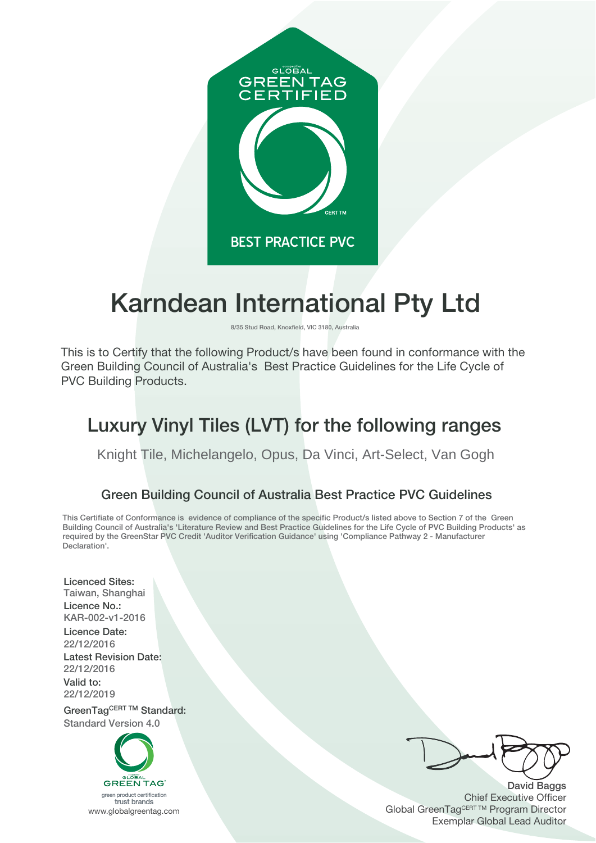

# **Karndean International Pty Ltd**

**8/35 Stud Road, Knoxfield, VIC 3180, Australia**

This is to Certify that the following Product/s have been found in conformance with the Green Building Council of Australia's Best Practice Guidelines for the Life Cycle of PVC Building Products.

# **Luxury Vinyl Tiles (LVT) for the following ranges**

Knight Tile, Michelangelo, Opus, Da Vinci, Art-Select, Van Gogh

### **Green Building Council of Australia Best Practice PVC Guidelines**

**This Certifiate of Conformance is evidence of compliance of the specific Product/s listed above to Section 7 of the Green Building Council of Australia's 'Literature Review and Best Practice Guidelines for the Life Cycle of PVC Building Products' as required by the GreenStar PVC Credit 'Auditor Verification Guidance' using 'Compliance Pathway 2 - Manufacturer Declaration'.**

**Licenced Sites: Taiwan, Shanghai Licence No.: KAR-002-v1-2016**

**Licence Date: 22/12/2016 Latest Revision Date: 22/12/2016 Valid to: 22/12/2019**

**GreenTagCERT TM Standard: Standard Version 4.0**



**David Baggs** Chief Executive Officer Global GreenTagCERT ™ Program Director Exemplar Global Lead Auditor